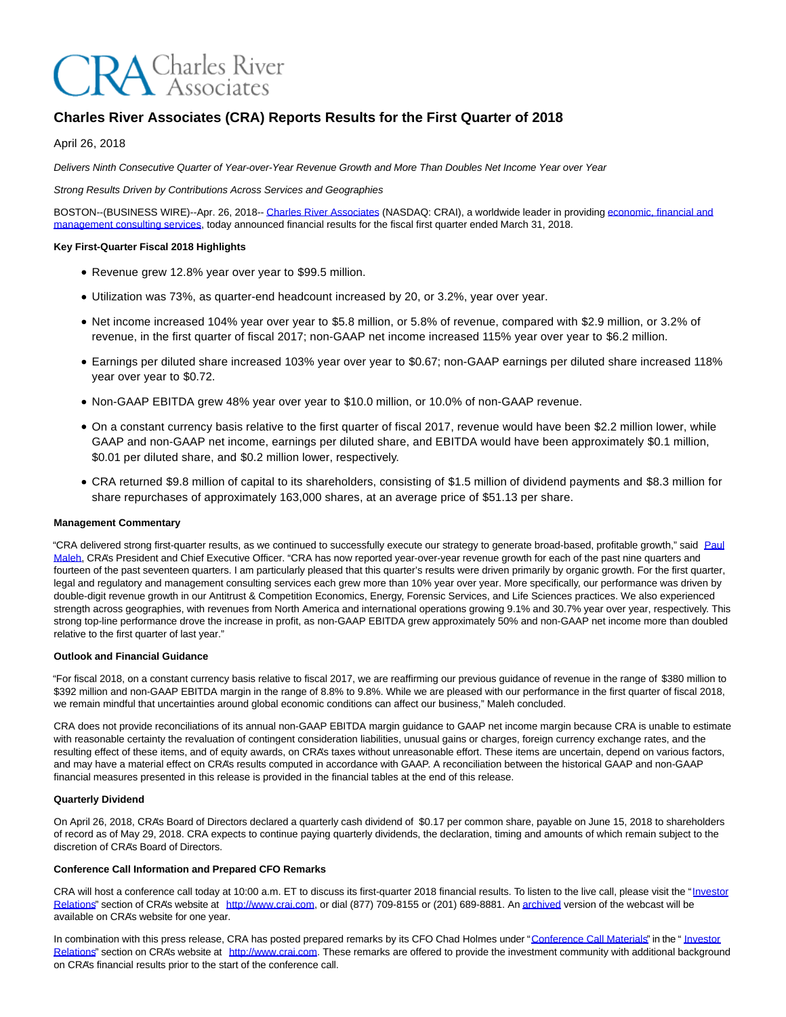# **CRA** Charles River

# **Charles River Associates (CRA) Reports Results for the First Quarter of 2018**

### April 26, 2018

Delivers Ninth Consecutive Quarter of Year-over-Year Revenue Growth and More Than Doubles Net Income Year over Year

Strong Results Driven by Contributions Across Services and Geographies

BOSTON--(BUSINESS WIRE)--Apr. 26, 2018-- [Charles River Associates \(](http://cts.businesswire.com/ct/CT?id=smartlink&url=http%3A%2F%2Fwww.crai.com%2FDefault.aspx&esheet=51795697&newsitemid=20180426005865&lan=en-US&anchor=Charles+River+Associates&index=1&md5=1a77927bdb2f225fc60cc6b3e0ed6621)NASDAQ: CRAI), a worldwide leader in providing [economic, financial and](http://cts.businesswire.com/ct/CT?id=smartlink&url=http%3A%2F%2Fwww.crai.com%2FConsultingExpertise%2FDefaultCustom.aspx&esheet=51795697&newsitemid=20180426005865&lan=en-US&anchor=economic%2C+financial+and+management+consulting+services&index=2&md5=58317de34359faf94f6d7f2047bbdd58) management consulting services, today announced financial results for the fiscal first quarter ended March 31, 2018.

#### **Key First-Quarter Fiscal 2018 Highlights**

- Revenue grew 12.8% year over year to \$99.5 million.
- Utilization was 73%, as quarter-end headcount increased by 20, or 3.2%, year over year.
- Net income increased 104% year over year to \$5.8 million, or 5.8% of revenue, compared with \$2.9 million, or 3.2% of revenue, in the first quarter of fiscal 2017; non-GAAP net income increased 115% year over year to \$6.2 million.
- Earnings per diluted share increased 103% year over year to \$0.67; non-GAAP earnings per diluted share increased 118% year over year to \$0.72.
- Non-GAAP EBITDA grew 48% year over year to \$10.0 million, or 10.0% of non-GAAP revenue.
- On a constant currency basis relative to the first quarter of fiscal 2017, revenue would have been \$2.2 million lower, while GAAP and non-GAAP net income, earnings per diluted share, and EBITDA would have been approximately \$0.1 million, \$0.01 per diluted share, and \$0.2 million lower, respectively.
- CRA returned \$9.8 million of capital to its shareholders, consisting of \$1.5 million of dividend payments and \$8.3 million for share repurchases of approximately 163,000 shares, at an average price of \$51.13 per share.

#### **Management Commentary**

"CRA delivered strong first-quarter results, as we continued to successfully execute our strategy to generate broad-based, profitable growth," said [Paul](http://cts.businesswire.com/ct/CT?id=smartlink&url=http%3A%2F%2Fwww.crai.com%2Fexpert%2Fpaul-maleh&esheet=51795697&newsitemid=20180426005865&lan=en-US&anchor=Paul+Maleh&index=3&md5=f324462563df1048afcc1d7028fcccee) Maleh, CRA's President and Chief Executive Officer. "CRA has now reported year-over-year revenue growth for each of the past nine quarters and fourteen of the past seventeen quarters. I am particularly pleased that this quarter's results were driven primarily by organic growth. For the first quarter, legal and regulatory and management consulting services each grew more than 10% year over year. More specifically, our performance was driven by double-digit revenue growth in our Antitrust & Competition Economics, Energy, Forensic Services, and Life Sciences practices. We also experienced strength across geographies, with revenues from North America and international operations growing 9.1% and 30.7% year over year, respectively. This strong top-line performance drove the increase in profit, as non-GAAP EBITDA grew approximately 50% and non-GAAP net income more than doubled relative to the first quarter of last year."

#### **Outlook and Financial Guidance**

"For fiscal 2018, on a constant currency basis relative to fiscal 2017, we are reaffirming our previous guidance of revenue in the range of \$380 million to \$392 million and non-GAAP EBITDA margin in the range of 8.8% to 9.8%. While we are pleased with our performance in the first quarter of fiscal 2018, we remain mindful that uncertainties around global economic conditions can affect our business," Maleh concluded.

CRA does not provide reconciliations of its annual non-GAAP EBITDA margin guidance to GAAP net income margin because CRA is unable to estimate with reasonable certainty the revaluation of contingent consideration liabilities, unusual gains or charges, foreign currency exchange rates, and the resulting effect of these items, and of equity awards, on CRA's taxes without unreasonable effort. These items are uncertain, depend on various factors, and may have a material effect on CRA's results computed in accordance with GAAP. A reconciliation between the historical GAAP and non-GAAP financial measures presented in this release is provided in the financial tables at the end of this release.

#### **Quarterly Dividend**

On April 26, 2018, CRA's Board of Directors declared a quarterly cash dividend of \$0.17 per common share, payable on June 15, 2018 to shareholders of record as of May 29, 2018. CRA expects to continue paying quarterly dividends, the declaration, timing and amounts of which remain subject to the discretion of CRA's Board of Directors.

#### **Conference Call Information and Prepared CFO Remarks**

CRA will host a conference call today at 10:00 a.m. ET to discuss its first-quarter 2018 financial results. To listen to the live call, please visit the ["Investor](http://cts.businesswire.com/ct/CT?id=smartlink&url=http%3A%2F%2Fphx.corporate-ir.net%2Fphoenix.zhtml%3Fc%3D97435%26p%3Dirol-IRHome&esheet=51795697&newsitemid=20180426005865&lan=en-US&anchor=Investor+Relations&index=4&md5=9bacbf8b88880e7d9cc056abd6c86072) Relations" section of CRA's website at [http://www.crai.com,](http://cts.businesswire.com/ct/CT?id=smartlink&url=http%3A%2F%2Fwww.crai.com%2FDefault.aspx&esheet=51795697&newsitemid=20180426005865&lan=en-US&anchor=http%3A%2F%2Fwww.crai.com&index=5&md5=cbfd3dbd36968b0daaa782d17fabac69) or dial (877) 709-8155 or (201) 689-8881. A[n archived v](http://cts.businesswire.com/ct/CT?id=smartlink&url=http%3A%2F%2Fphx.corporate-ir.net%2Fphoenix.zhtml%3Fc%3D97435%26p%3Dirol-calendarpast&esheet=51795697&newsitemid=20180426005865&lan=en-US&anchor=archived&index=6&md5=628177c87e0960b1edb9823d070e2b88)ersion of the webcast will be available on CRA's website for one year.

In combination with this press release, CRA has posted prepared remarks by its CFO Chad Holmes under ["Conference Call Materials"](http://cts.businesswire.com/ct/CT?id=smartlink&url=http%3A%2F%2Fphx.corporate-ir.net%2Fphoenix.zhtml%3Fc%3D97435%26p%3Dirol-presentations&esheet=51795697&newsitemid=20180426005865&lan=en-US&anchor=Conference+Call+Materials&index=7&md5=8b5cfad8ab9ba56be66d1781e20443e8) in the " [Investor](http://cts.businesswire.com/ct/CT?id=smartlink&url=http%3A%2F%2Fphx.corporate-ir.net%2Fphoenix.zhtml%3Fc%3D97435%26p%3Dirol-IRHome&esheet=51795697&newsitemid=20180426005865&lan=en-US&anchor=Investor+Relations&index=8&md5=62233f9ed6d320f58db0ab7c89f8275c) Relations" section on CRA's website at [http://www.crai.com.](http://cts.businesswire.com/ct/CT?id=smartlink&url=http%3A%2F%2Fwww.crai.com%2FDefault.aspx&esheet=51795697&newsitemid=20180426005865&lan=en-US&anchor=http%3A%2F%2Fwww.crai.com&index=9&md5=97492d62be14b027ef578e9b4e29756d) These remarks are offered to provide the investment community with additional background on CRA's financial results prior to the start of the conference call.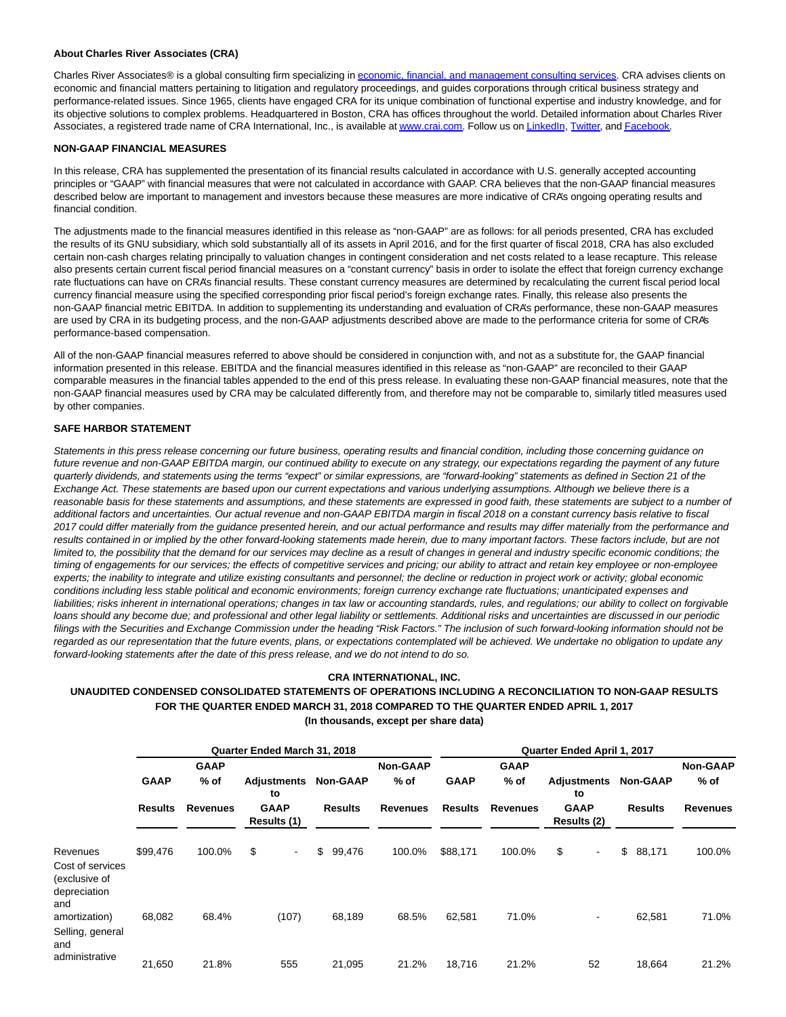#### **About Charles River Associates (CRA)**

Charles River Associates® is a global consulting firm specializing in [economic, financial, and management consulting services.](http://cts.businesswire.com/ct/CT?id=smartlink&url=http%3A%2F%2Fwww.crai.com%2F&esheet=51795697&newsitemid=20180426005865&lan=en-US&anchor=economic%2C+financial%2C+and+management+consulting+services&index=10&md5=63835f6b403e895229b363563df422c9) CRA advises clients on economic and financial matters pertaining to litigation and regulatory proceedings, and guides corporations through critical business strategy and performance-related issues. Since 1965, clients have engaged CRA for its unique combination of functional expertise and industry knowledge, and for its objective solutions to complex problems. Headquartered in Boston, CRA has offices throughout the world. Detailed information about Charles River Associates, a registered trade name of CRA International, Inc., is available a[t www.crai.com.](http://cts.businesswire.com/ct/CT?id=smartlink&url=http%3A%2F%2Fwww.crai.com&esheet=51795697&newsitemid=20180426005865&lan=en-US&anchor=www.crai.com&index=11&md5=a5cb8988f8059ad3bad6722f8ed97c0a) Follow us o[n LinkedIn,](http://cts.businesswire.com/ct/CT?id=smartlink&url=https%3A%2F%2Fwww.linkedin.com%2Fcompany%2Fcharles-river-associates&esheet=51795697&newsitemid=20180426005865&lan=en-US&anchor=LinkedIn&index=12&md5=3c4a17df1059f03ff15b8d8f12bb5605) [Twitter,](http://cts.businesswire.com/ct/CT?id=smartlink&url=https%3A%2F%2Ftwitter.com%2FNews_CRA&esheet=51795697&newsitemid=20180426005865&lan=en-US&anchor=Twitter&index=13&md5=7ef2a86270d9d106c706226656ef4eb6) and [Facebook.](http://cts.businesswire.com/ct/CT?id=smartlink&url=https%3A%2F%2Fwww.facebook.com%2FCharlesRiverAssociates&esheet=51795697&newsitemid=20180426005865&lan=en-US&anchor=Facebook&index=14&md5=440d768a3df5dd04a540767e8e3827d7)

#### **NON-GAAP FINANCIAL MEASURES**

In this release, CRA has supplemented the presentation of its financial results calculated in accordance with U.S. generally accepted accounting principles or "GAAP" with financial measures that were not calculated in accordance with GAAP. CRA believes that the non-GAAP financial measures described below are important to management and investors because these measures are more indicative of CRA's ongoing operating results and financial condition.

The adjustments made to the financial measures identified in this release as "non-GAAP" are as follows: for all periods presented, CRA has excluded the results of its GNU subsidiary, which sold substantially all of its assets in April 2016, and for the first quarter of fiscal 2018, CRA has also excluded certain non-cash charges relating principally to valuation changes in contingent consideration and net costs related to a lease recapture. This release also presents certain current fiscal period financial measures on a "constant currency" basis in order to isolate the effect that foreign currency exchange rate fluctuations can have on CRA's financial results. These constant currency measures are determined by recalculating the current fiscal period local currency financial measure using the specified corresponding prior fiscal period's foreign exchange rates. Finally, this release also presents the non-GAAP financial metric EBITDA. In addition to supplementing its understanding and evaluation of CRA's performance, these non-GAAP measures are used by CRA in its budgeting process, and the non-GAAP adjustments described above are made to the performance criteria for some of CRA's performance-based compensation.

All of the non-GAAP financial measures referred to above should be considered in conjunction with, and not as a substitute for, the GAAP financial information presented in this release. EBITDA and the financial measures identified in this release as "non-GAAP" are reconciled to their GAAP comparable measures in the financial tables appended to the end of this press release. In evaluating these non-GAAP financial measures, note that the non-GAAP financial measures used by CRA may be calculated differently from, and therefore may not be comparable to, similarly titled measures used by other companies.

#### **SAFE HARBOR STATEMENT**

Statements in this press release concerning our future business, operating results and financial condition, including those concerning guidance on future revenue and non-GAAP EBITDA margin, our continued ability to execute on any strategy, our expectations regarding the payment of any future quarterly dividends, and statements using the terms "expect" or similar expressions, are "forward-looking" statements as defined in Section 21 of the Exchange Act. These statements are based upon our current expectations and various underlying assumptions. Although we believe there is a reasonable basis for these statements and assumptions, and these statements are expressed in good faith, these statements are subject to a number of additional factors and uncertainties. Our actual revenue and non-GAAP EBITDA margin in fiscal 2018 on a constant currency basis relative to fiscal 2017 could differ materially from the guidance presented herein, and our actual performance and results may differ materially from the performance and results contained in or implied by the other forward-looking statements made herein, due to many important factors. These factors include, but are not limited to, the possibility that the demand for our services may decline as a result of changes in general and industry specific economic conditions; the timing of engagements for our services; the effects of competitive services and pricing; our ability to attract and retain key employee or non-employee experts; the inability to integrate and utilize existing consultants and personnel; the decline or reduction in project work or activity; global economic conditions including less stable political and economic environments; foreign currency exchange rate fluctuations; unanticipated expenses and liabilities; risks inherent in international operations; changes in tax law or accounting standards, rules, and regulations; our ability to collect on forgivable loans should any become due; and professional and other legal liability or settlements. Additional risks and uncertainties are discussed in our periodic filings with the Securities and Exchange Commission under the heading "Risk Factors." The inclusion of such forward-looking information should not be regarded as our representation that the future events, plans, or expectations contemplated will be achieved. We undertake no obligation to update any forward-looking statements after the date of this press release, and we do not intend to do so.

#### **CRA INTERNATIONAL, INC.**

# **UNAUDITED CONDENSED CONSOLIDATED STATEMENTS OF OPERATIONS INCLUDING A RECONCILIATION TO NON-GAAP RESULTS FOR THE QUARTER ENDED MARCH 31, 2018 COMPARED TO THE QUARTER ENDED APRIL 1, 2017**

|                                                                      | Quarter Ended March 31, 2018 |                 |                            |                 |                 |                | Quarter Ended April 1, 2017 |                            |                 |                 |  |  |
|----------------------------------------------------------------------|------------------------------|-----------------|----------------------------|-----------------|-----------------|----------------|-----------------------------|----------------------------|-----------------|-----------------|--|--|
|                                                                      |                              | <b>GAAP</b>     |                            |                 | <b>Non-GAAP</b> |                | <b>GAAP</b>                 |                            |                 | <b>Non-GAAP</b> |  |  |
|                                                                      | <b>GAAP</b>                  | $%$ of          | Adjustments<br>to          | <b>Non-GAAP</b> | $%$ of          | <b>GAAP</b>    | $%$ of                      | <b>Adjustments</b><br>to   | <b>Non-GAAP</b> | $%$ of          |  |  |
|                                                                      | <b>Results</b>               | <b>Revenues</b> | <b>GAAP</b><br>Results (1) | <b>Results</b>  | <b>Revenues</b> | <b>Results</b> | <b>Revenues</b>             | <b>GAAP</b><br>Results (2) | <b>Results</b>  | <b>Revenues</b> |  |  |
| Revenues<br>Cost of services<br>(exclusive of<br>depreciation<br>and | \$99,476                     | 100.0%          | \$<br>$\sim$               | \$<br>99,476    | 100.0%          | \$88,171       | 100.0%                      | \$<br>$\blacksquare$       | \$<br>88,171    | 100.0%          |  |  |
| amortization)<br>Selling, general<br>and                             | 68,082                       | 68.4%           | (107)                      | 68,189          | 68.5%           | 62,581         | 71.0%                       | $\overline{\phantom{a}}$   | 62,581          | 71.0%           |  |  |
| administrative                                                       | 21.650                       | 21.8%           | 555                        | 21,095          | 21.2%           | 18,716         | 21.2%                       | 52                         | 18,664          | 21.2%           |  |  |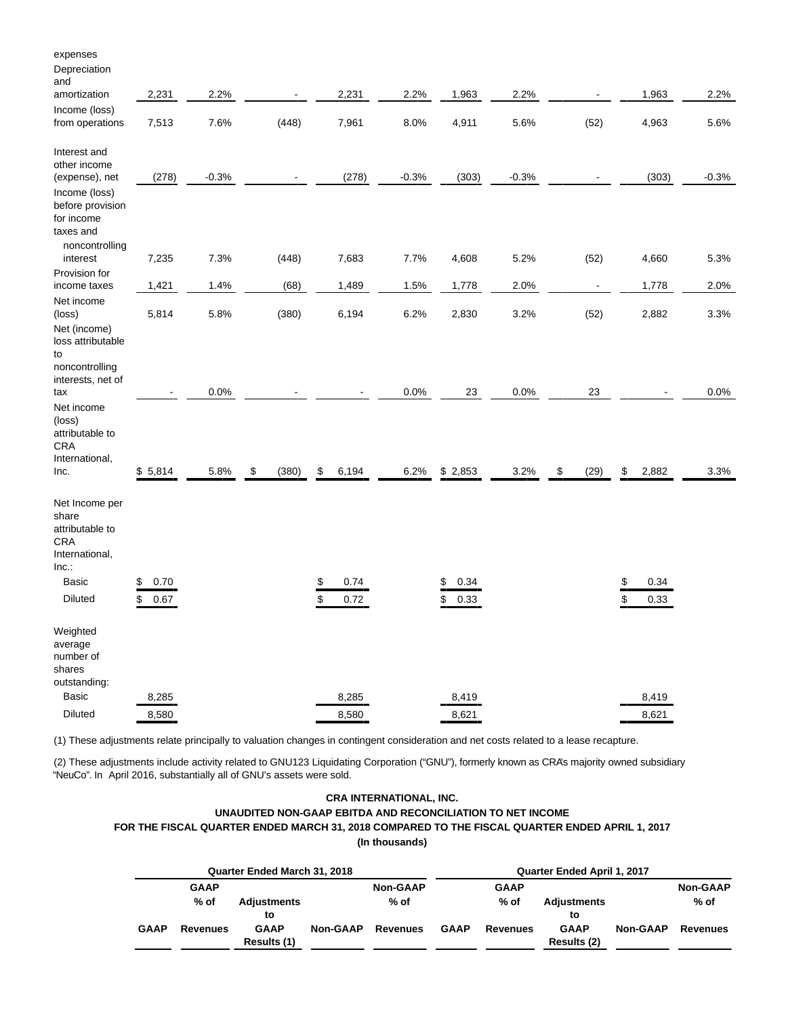| expenses                                                                           |                          |         |             |                          |         |                          |         |                |                          |         |
|------------------------------------------------------------------------------------|--------------------------|---------|-------------|--------------------------|---------|--------------------------|---------|----------------|--------------------------|---------|
| Depreciation<br>and                                                                |                          |         |             |                          |         |                          |         |                |                          |         |
| amortization                                                                       | 2,231                    | 2.2%    |             | 2,231                    | 2.2%    | 1,963                    | 2.2%    |                | 1,963                    | 2.2%    |
| Income (loss)<br>from operations                                                   | 7,513                    | 7.6%    | (448)       | 7,961                    | 8.0%    | 4,911                    | 5.6%    | (52)           | 4,963                    | 5.6%    |
| Interest and<br>other income                                                       |                          |         |             |                          |         |                          |         |                |                          |         |
| (expense), net<br>Income (loss)<br>before provision<br>for income<br>taxes and     | (278)                    | $-0.3%$ |             | (278)                    | $-0.3%$ | (303)                    | $-0.3%$ |                | (303)                    | $-0.3%$ |
| noncontrolling<br>interest                                                         | 7,235                    | 7.3%    | (448)       | 7,683                    | 7.7%    | 4,608                    | 5.2%    | (52)           | 4,660                    | 5.3%    |
| Provision for<br>income taxes<br>Net income                                        | 1,421                    | 1.4%    | (68)        | 1,489                    | 1.5%    | 1,778                    | 2.0%    | $\blacksquare$ | 1,778                    | 2.0%    |
| (loss)<br>Net (income)<br>loss attributable<br>to                                  | 5,814                    | 5.8%    | (380)       | 6,194                    | 6.2%    | 2,830                    | 3.2%    | (52)           | 2,882                    | 3.3%    |
| noncontrolling<br>interests, net of<br>tax                                         |                          | 0.0%    |             |                          | 0.0%    | 23                       | 0.0%    | 23             |                          | 0.0%    |
| Net income<br>(loss)<br>attributable to<br><b>CRA</b><br>International,<br>Inc.    | \$5,814                  | 5.8%    | \$<br>(380) | \$<br>6,194              | 6.2%    | \$2,853                  | 3.2%    | \$<br>(29)     | 2,882<br>\$              | 3.3%    |
| Net Income per<br>share<br>attributable to<br><b>CRA</b><br>International,<br>Inc. |                          |         |             |                          |         |                          |         |                |                          |         |
| <b>Basic</b><br><b>Diluted</b>                                                     | \$<br>0.70<br>\$<br>0.67 |         |             | 0.74<br>\$<br>\$<br>0.72 |         | 0.34<br>\$<br>\$<br>0.33 |         |                | 0.34<br>\$<br>0.33<br>\$ |         |
| Weighted<br>average<br>number of<br>shares<br>outstanding:                         |                          |         |             |                          |         |                          |         |                |                          |         |
| Basic<br>Diluted                                                                   | 8,285<br>8,580           |         |             | 8,285<br>8,580           |         | 8,419<br>8,621           |         |                | 8,419<br>8,621           |         |
|                                                                                    |                          |         |             |                          |         |                          |         |                |                          |         |

(1) These adjustments relate principally to valuation changes in contingent consideration and net costs related to a lease recapture.

(2) These adjustments include activity related to GNU123 Liquidating Corporation ("GNU"), formerly known as CRA's majority owned subsidiary "NeuCo". In April 2016, substantially all of GNU's assets were sold.

## **CRA INTERNATIONAL, INC. UNAUDITED NON-GAAP EBITDA AND RECONCILIATION TO NET INCOME FOR THE FISCAL QUARTER ENDED MARCH 31, 2018 COMPARED TO THE FISCAL QUARTER ENDED APRIL 1, 2017 (In thousands)**

| Quarter Ended March 31, 2018 |                 |                            |                 |                 |             | <b>Quarter Ended April 1, 2017</b> |                            |                 |                 |  |  |
|------------------------------|-----------------|----------------------------|-----------------|-----------------|-------------|------------------------------------|----------------------------|-----------------|-----------------|--|--|
|                              | <b>GAAP</b>     |                            |                 | <b>Non-GAAP</b> |             | <b>GAAP</b>                        |                            |                 | <b>Non-GAAP</b> |  |  |
|                              | $%$ of          | Adjustments<br>to          |                 | $%$ of          |             | $%$ of                             | <b>Adjustments</b><br>to   |                 | $%$ of          |  |  |
| <b>GAAP</b>                  | <b>Revenues</b> | <b>GAAP</b><br>Results (1) | <b>Non-GAAP</b> | <b>Revenues</b> | <b>GAAP</b> | <b>Revenues</b>                    | <b>GAAP</b><br>Results (2) | <b>Non-GAAP</b> | Revenues        |  |  |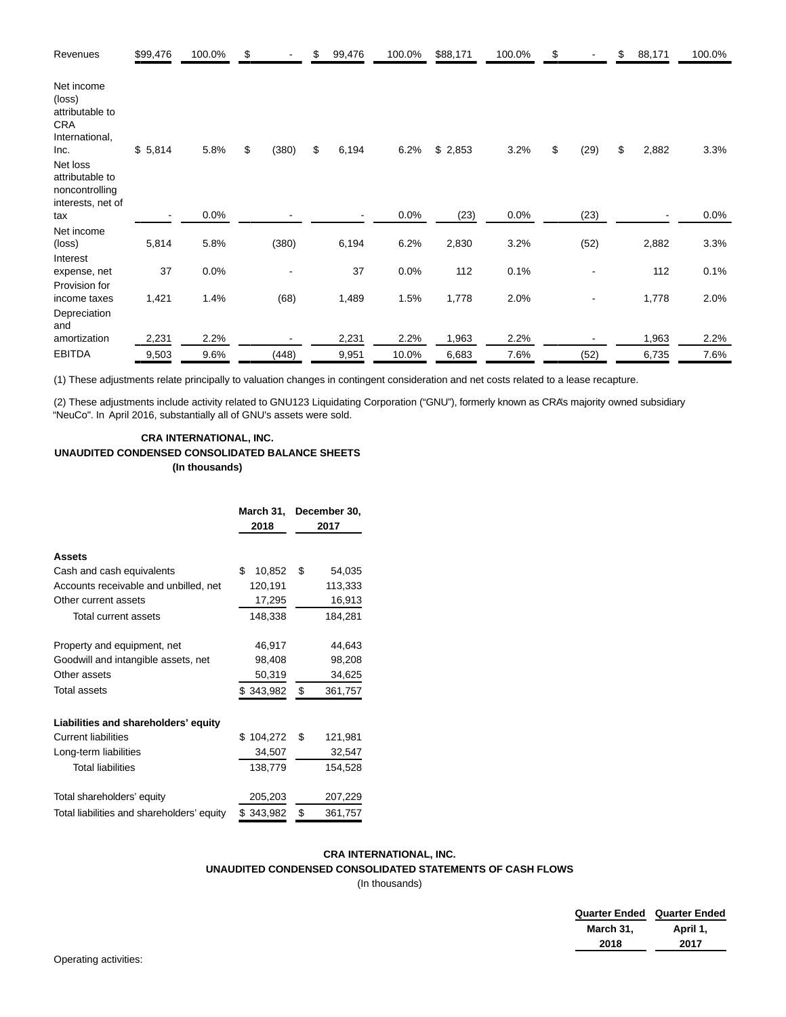| Revenues                                                                                    | \$99,476 | 100.0% | \$          | \$<br>99,476 | 100.0% | \$88,171 | 100.0% | \$         | \$<br>88,171 | 100.0% |
|---------------------------------------------------------------------------------------------|----------|--------|-------------|--------------|--------|----------|--------|------------|--------------|--------|
| Net income<br>(loss)<br>attributable to<br><b>CRA</b><br>International,<br>Inc.<br>Net loss | \$5,814  | 5.8%   | \$<br>(380) | \$<br>6,194  | 6.2%   | \$2,853  | 3.2%   | \$<br>(29) | \$<br>2,882  | 3.3%   |
| attributable to<br>noncontrolling                                                           |          |        |             |              |        |          |        |            |              |        |
| interests, net of<br>tax                                                                    |          | 0.0%   |             |              | 0.0%   | (23)     | 0.0%   | (23)       |              | 0.0%   |
| Net income                                                                                  |          |        |             |              |        |          |        |            |              |        |
| (loss)                                                                                      | 5,814    | 5.8%   | (380)       | 6,194        | 6.2%   | 2,830    | 3.2%   | (52)       | 2,882        | 3.3%   |
| Interest<br>expense, net<br>Provision for                                                   | 37       | 0.0%   |             | 37           | 0.0%   | 112      | 0.1%   |            | 112          | 0.1%   |
| income taxes                                                                                | 1,421    | 1.4%   | (68)        | 1,489        | 1.5%   | 1,778    | 2.0%   |            | 1,778        | 2.0%   |
| Depreciation<br>and                                                                         |          |        |             |              |        |          |        |            |              |        |
| amortization                                                                                | 2,231    | 2.2%   |             | 2,231        | 2.2%   | 1,963    | 2.2%   |            | 1,963        | 2.2%   |
| <b>EBITDA</b>                                                                               | 9,503    | 9.6%   | (448)       | 9,951        | 10.0%  | 6,683    | 7.6%   | (52)       | 6,735        | 7.6%   |

(1) These adjustments relate principally to valuation changes in contingent consideration and net costs related to a lease recapture.

(2) These adjustments include activity related to GNU123 Liquidating Corporation ("GNU"), formerly known as CRA's majority owned subsidiary "NeuCo". In April 2016, substantially all of GNU's assets were sold.

## **CRA INTERNATIONAL, INC. UNAUDITED CONDENSED CONSOLIDATED BALANCE SHEETS (In thousands)**

|                                            | March 31,<br>2018 | December 30,<br>2017 |         |  |  |
|--------------------------------------------|-------------------|----------------------|---------|--|--|
| Assets                                     |                   |                      |         |  |  |
| Cash and cash equivalents                  | \$<br>10,852      | \$                   | 54,035  |  |  |
| Accounts receivable and unbilled, net      | 120,191           |                      | 113,333 |  |  |
| Other current assets                       | 17,295            |                      | 16,913  |  |  |
| Total current assets                       | 148,338           |                      | 184,281 |  |  |
| Property and equipment, net                | 46,917            |                      | 44,643  |  |  |
| Goodwill and intangible assets, net        | 98,408            |                      | 98,208  |  |  |
| Other assets                               | 50,319            |                      | 34,625  |  |  |
| Total assets                               | \$343,982         | \$                   | 361,757 |  |  |
| Liabilities and shareholders' equity       |                   |                      |         |  |  |
| <b>Current liabilities</b>                 | \$104,272         | \$                   | 121,981 |  |  |
| Long-term liabilities                      | 34,507            |                      | 32,547  |  |  |
| <b>Total liabilities</b>                   | 138,779           |                      | 154,528 |  |  |
| Total shareholders' equity                 | 205,203           |                      | 207,229 |  |  |
| Total liabilities and shareholders' equity | \$343,982         | \$                   | 361,757 |  |  |

# **CRA INTERNATIONAL, INC. UNAUDITED CONDENSED CONSOLIDATED STATEMENTS OF CASH FLOWS**

(In thousands)

| <b>Quarter Ended</b> | <b>Quarter Ended</b> |
|----------------------|----------------------|
| March 31,            | April 1,             |
| 2018                 | 2017                 |